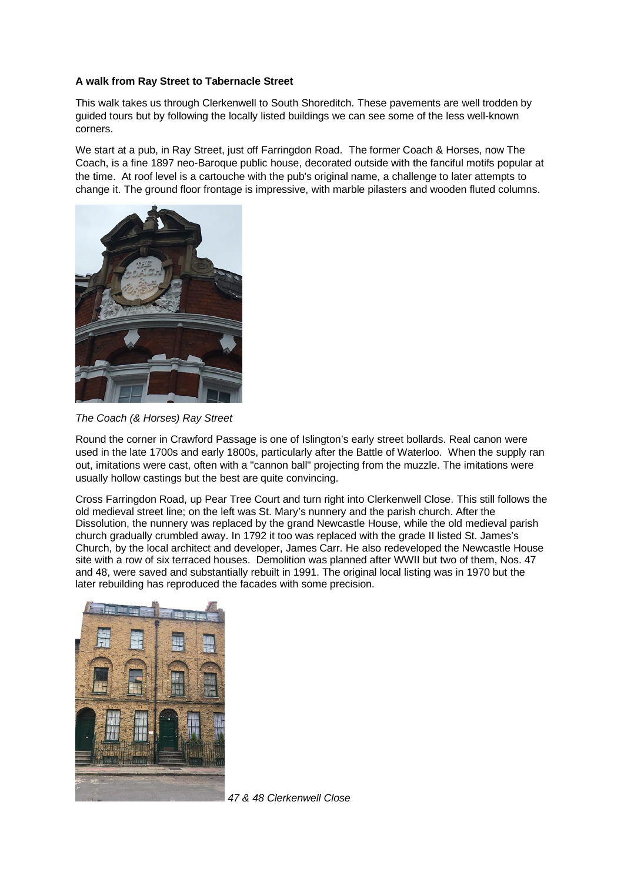## **A walk from Ray Street to Tabernacle Street**

This walk takes us through Clerkenwell to South Shoreditch. These pavements are well trodden by guided tours but by following the locally listed buildings we can see some of the less well-known corners.

We start at a pub, in Ray Street, just off Farringdon Road. The former Coach & Horses, now The Coach, is a fine 1897 neo-Baroque public house, decorated outside with the fanciful motifs popular at the time. At roof level is a cartouche with the pub's original name, a challenge to later attempts to change it. The ground floor frontage is impressive, with marble pilasters and wooden fluted columns.



*The Coach (& Horses) Ray Street*

Round the corner in Crawford Passage is one of Islington's early street bollards. Real canon were used in the late 1700s and early 1800s, particularly after the Battle of Waterloo. When the supply ran out, imitations were cast, often with a "cannon ball" projecting from the muzzle. The imitations were usually hollow castings but the best are quite convincing.

Cross Farringdon Road, up Pear Tree Court and turn right into Clerkenwell Close. This still follows the old medieval street line; on the left was St. Mary's nunnery and the parish church. After the Dissolution, the nunnery was replaced by the grand Newcastle House, while the old medieval parish church gradually crumbled away. In 1792 it too was replaced with the grade II listed St. James's Church, by the local architect and developer, James Carr. He also redeveloped the Newcastle House site with a row of six terraced houses. Demolition was planned after WWII but two of them, Nos. 47 and 48, were saved and substantially rebuilt in 1991. The original local listing was in 1970 but the later rebuilding has reproduced the facades with some precision.



*47 & 48 Clerkenwell Close*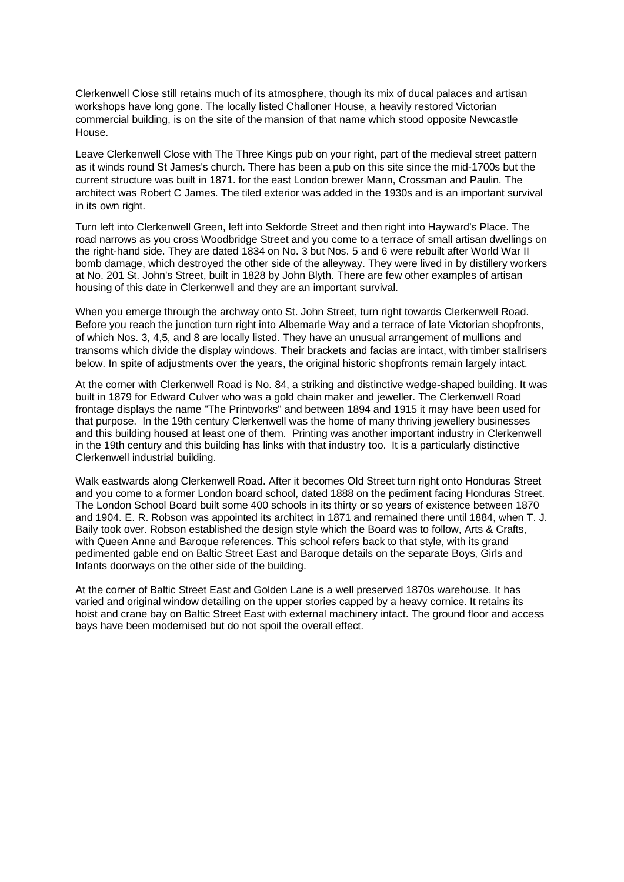Clerkenwell Close still retains much of its atmosphere, though its mix of ducal palaces and artisan workshops have long gone. The locally listed Challoner House, a heavily restored Victorian commercial building, is on the site of the mansion of that name which stood opposite Newcastle House.

Leave Clerkenwell Close with The Three Kings pub on your right, part of the medieval street pattern as it winds round St James's church. There has been a pub on this site since the mid-1700s but the current structure was built in 1871. for the east London brewer Mann, Crossman and Paulin. The architect was Robert C James. The tiled exterior was added in the 1930s and is an important survival in its own right.

Turn left into Clerkenwell Green, left into Sekforde Street and then right into Hayward's Place. The road narrows as you cross Woodbridge Street and you come to a terrace of small artisan dwellings on the right-hand side. They are dated 1834 on No. 3 but Nos. 5 and 6 were rebuilt after World War II bomb damage, which destroyed the other side of the alleyway. They were lived in by distillery workers at No. 201 St. John's Street, built in 1828 by John Blyth. There are few other examples of artisan housing of this date in Clerkenwell and they are an important survival.

When you emerge through the archway onto St. John Street, turn right towards Clerkenwell Road. Before you reach the junction turn right into Albemarle Way and a terrace of late Victorian shopfronts, of which Nos. 3, 4,5, and 8 are locally listed. They have an unusual arrangement of mullions and transoms which divide the display windows. Their brackets and facias are intact, with timber stallrisers below. In spite of adjustments over the years, the original historic shopfronts remain largely intact.

At the corner with Clerkenwell Road is No. 84, a striking and distinctive wedge-shaped building. It was built in 1879 for Edward Culver who was a gold chain maker and jeweller. The Clerkenwell Road frontage displays the name "The Printworks" and between 1894 and 1915 it may have been used for that purpose. In the 19th century Clerkenwell was the home of many thriving jewellery businesses and this building housed at least one of them. Printing was another important industry in Clerkenwell in the 19th century and this building has links with that industry too. It is a particularly distinctive Clerkenwell industrial building.

Walk eastwards along Clerkenwell Road. After it becomes Old Street turn right onto Honduras Street and you come to a former London board school, dated 1888 on the pediment facing Honduras Street. The London School Board built some 400 schools in its thirty or so years of existence between 1870 and 1904. E. R. Robson was appointed its architect in 1871 and remained there until 1884, when T. J. Baily took over. Robson established the design style which the Board was to follow, Arts & Crafts, with Queen Anne and Baroque references. This school refers back to that style, with its grand pedimented gable end on Baltic Street East and Baroque details on the separate Boys, Girls and Infants doorways on the other side of the building.

At the corner of Baltic Street East and Golden Lane is a well preserved 1870s warehouse. It has varied and original window detailing on the upper stories capped by a heavy cornice. It retains its hoist and crane bay on Baltic Street East with external machinery intact. The ground floor and access bays have been modernised but do not spoil the overall effect.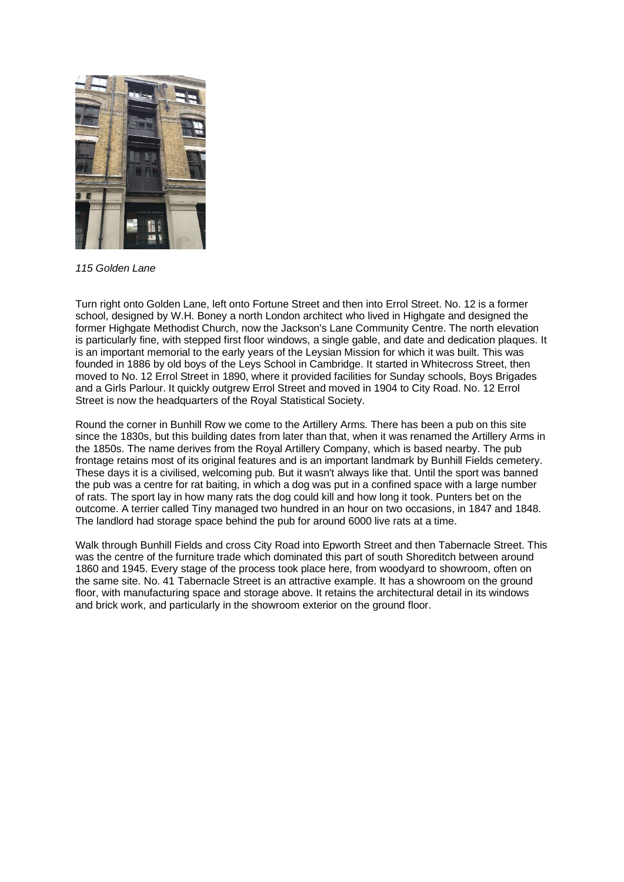

*115 Golden Lane*

Turn right onto Golden Lane, left onto Fortune Street and then into Errol Street. No. 12 is a former school, designed by W.H. Boney a north London architect who lived in Highgate and designed the former Highgate Methodist Church, now the Jackson's Lane Community Centre. The north elevation is particularly fine, with stepped first floor windows, a single gable, and date and dedication plaques. It is an important memorial to the early years of the Leysian Mission for which it was built. This was founded in 1886 by old boys of the Leys School in Cambridge. It started in Whitecross Street, then moved to No. 12 Errol Street in 1890, where it provided facilities for Sunday schools, Boys Brigades and a Girls Parlour. It quickly outgrew Errol Street and moved in 1904 to City Road. No. 12 Errol Street is now the headquarters of the Royal Statistical Society.

Round the corner in Bunhill Row we come to the Artillery Arms. There has been a pub on this site since the 1830s, but this building dates from later than that, when it was renamed the Artillery Arms in the 1850s. The name derives from the Royal Artillery Company, which is based nearby. The pub frontage retains most of its original features and is an important landmark by Bunhill Fields cemetery. These days it is a civilised, welcoming pub. But it wasn't always like that. Until the sport was banned the pub was a centre for rat baiting, in which a dog was put in a confined space with a large number of rats. The sport lay in how many rats the dog could kill and how long it took. Punters bet on the outcome. A terrier called Tiny managed two hundred in an hour on two occasions, in 1847 and 1848. The landlord had storage space behind the pub for around 6000 live rats at a time.

Walk through Bunhill Fields and cross City Road into Epworth Street and then Tabernacle Street. This was the centre of the furniture trade which dominated this part of south Shoreditch between around 1860 and 1945. Every stage of the process took place here, from woodyard to showroom, often on the same site. No. 41 Tabernacle Street is an attractive example. It has a showroom on the ground floor, with manufacturing space and storage above. It retains the architectural detail in its windows and brick work, and particularly in the showroom exterior on the ground floor.